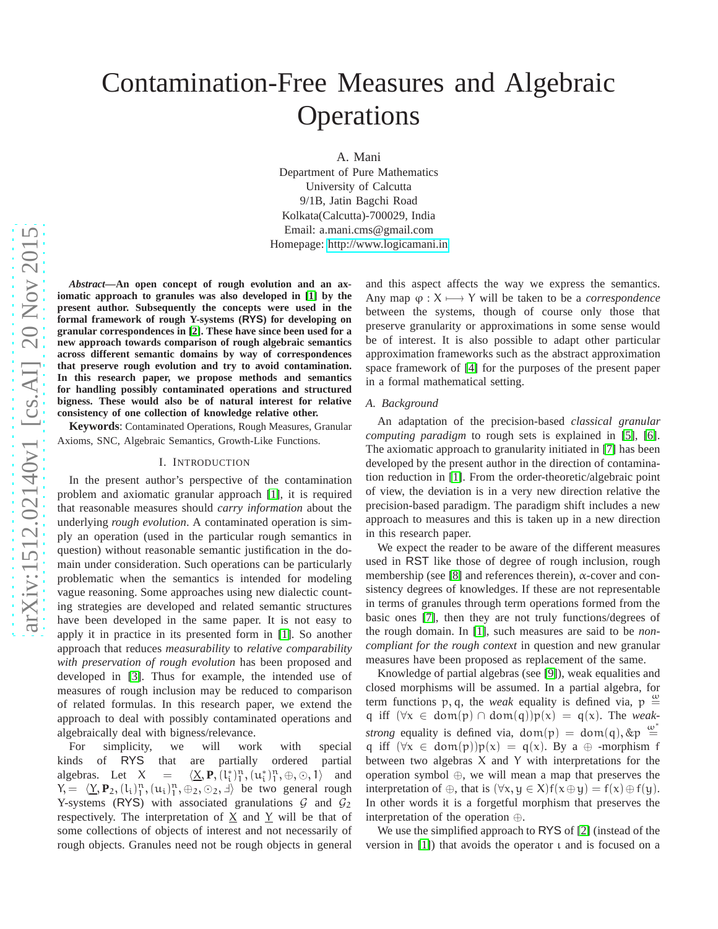# Contamination-Free Measures and Algebraic **Operations**

A. Mani

Department of Pure Mathematics University of Calcutta 9/1B, Jatin Bagchi Road Kolkata(Calcutta)-700029, India Email: a.mani.cms@gmail.com Homepage:<http://www.logicamani.in>

*Abstract***—An open concept of rough evolution and an axiomatic approach to granules was also developed in [\[1\]](#page-7-0) by the present author. Subsequently the concepts were used in the formal framework of rough Y-systems (RYS) for developing on granular correspondences in [\[2\]](#page-7-1). These have since been used for a new approach towards comparison of rough algebraic semantics across different semantic domains by way of correspondences that preserve rough evolution and try to avoid contamination. In this research paper, we propose methods and semantics for handling possibly contaminated operations and structured bigness. These would also be of natural interest for relative consistency of one collection of knowledge relative other.**

**Keywords**: Contaminated Operations, Rough Measures, Granular Axioms, SNC, Algebraic Semantics, Growth-Like Functions.

#### I. INTRODUCTION

In the present author's perspective of the contamination problem and axiomatic granular approach [\[1\]](#page-7-0), it is required that reasonable measures should *carry information* about the underlying *rough evolution*. A contaminated operation is simply an operation (used in the particular rough semantics in question) without reasonable semantic justification in the domain under consideration. Such operations can be particularly problematic when the semantics is intended for modeling vague reasoning. Some approaches using new dialectic counting strategies are developed and related semantic structures have been developed in the same paper. It is not easy to apply it in practice in its presented form in [\[1\]](#page-7-0). So another approach that reduces *measurability* to *relative comparability with preservation of rough evolution* has been proposed and developed in [\[3\]](#page-7-2). Thus for example, the intended use of measures of rough inclusion may be reduced to comparison of related formulas. In this research paper, we extend the approach to deal with possibly contaminated operations and algebraically deal with bigness/relevance.

For simplicity, we will work with special kinds of RYS that are partially ordered partial algebras. Let  $X =$  $\{\n\begin{array}{c}\n\ast \\
\ast \\
\end{array}\n\}^n, \{\mathfrak{u}_i^*\}_{1}^n, \oplus, \odot, 1\}$  and  $Y_1 = \langle \underline{Y}, \underline{P}_2, (l_i)_1^n, (u_i)_1^n, \oplus_2, \odot_2, \underline{A} \rangle$  be two general rough Y-systems (RYS) with associated granulations  $G$  and  $G_2$ respectively. The interpretation of X and Y will be that of some collections of objects of interest and not necessarily of rough objects. Granules need not be rough objects in general

and this aspect affects the way we express the semantics. Any map  $\varphi: X \longmapsto Y$  will be taken to be a *correspondence* between the systems, though of course only those that preserve granularity or approximations in some sense would be of interest. It is also possible to adapt other particular approximation frameworks such as the abstract approximation space framework of [\[4\]](#page-7-3) for the purposes of the present paper in a formal mathematical setting.

### *A. Background*

An adaptation of the precision-based *classical granular computing paradigm* to rough sets is explained in [\[5\]](#page-7-4), [\[6\]](#page-7-5). The axiomatic approach to granularity initiated in [\[7\]](#page-7-6) has been developed by the present author in the direction of contamination reduction in [\[1\]](#page-7-0). From the order-theoretic/algebraic point of view, the deviation is in a very new direction relative the precision-based paradigm. The paradigm shift includes a new approach to measures and this is taken up in a new direction in this research paper.

We expect the reader to be aware of the different measures used in RST like those of degree of rough inclusion, rough membership (see [\[8\]](#page-7-7) and references therein),  $\alpha$ -cover and consistency degrees of knowledges. If these are not representable in terms of granules through term operations formed from the basic ones [\[7\]](#page-7-6), then they are not truly functions/degrees of the rough domain. In [\[1\]](#page-7-0), such measures are said to be *noncompliant for the rough context* in question and new granular measures have been proposed as replacement of the same.

Knowledge of partial algebras (see [\[9\]](#page-7-8)), weak equalities and closed morphisms will be assumed. In a partial algebra, for term functions p, q, the *weak* equality is defined via,  $p \stackrel{\omega}{=}$ q iff  $(\forall x \in \text{dom}(p) \cap \text{dom}(q))p(x) = q(x)$ . The *weakstrong* equality is defined via,  $dom(p) = dom(q),$  &p  $\stackrel{\omega^*}{=}$ q iff  $(\forall x \in \text{dom}(p))p(x) = q(x)$ . By a  $\oplus$  -morphism f between two algebras X and Y with interpretations for the operation symbol ⊕, we will mean a map that preserves the interpretation of  $\oplus$ , that is  $(\forall x, y \in X) f(x \oplus y) = f(x) \oplus f(y)$ . In other words it is a forgetful morphism that preserves the interpretation of the operation ⊕.

We use the simplified approach to RYS of [\[2\]](#page-7-1) (instead of the version in [\[1\]](#page-7-0)) that avoids the operator ι and is focused on a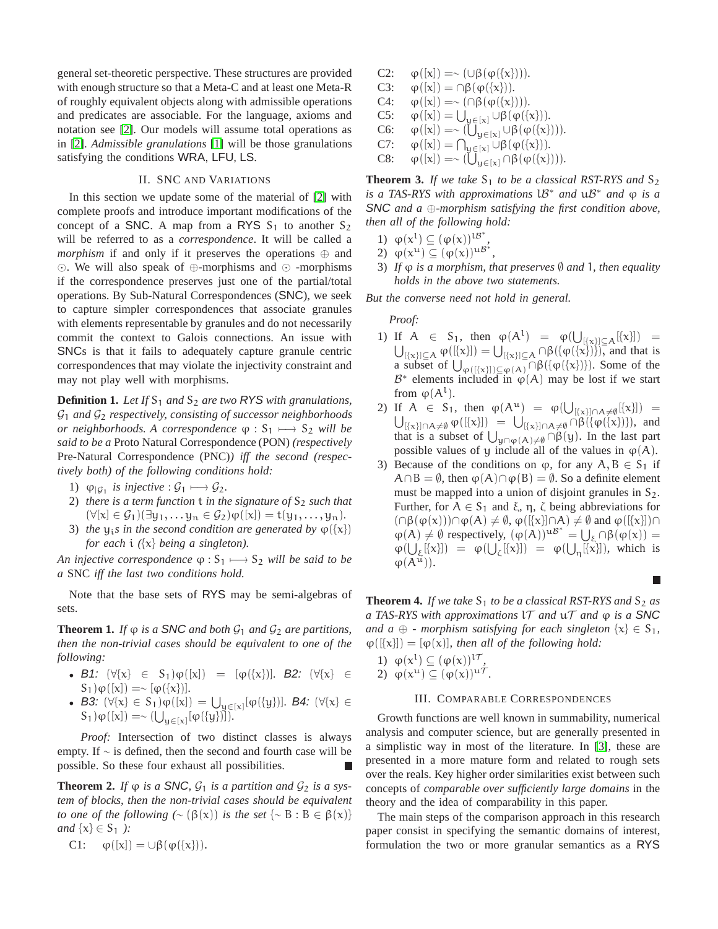general set-theoretic perspective. These structures are provided with enough structure so that a Meta-C and at least one Meta-R of roughly equivalent objects along with admissible operations and predicates are associable. For the language, axioms and notation see [\[2\]](#page-7-1). Our models will assume total operations as in [\[2\]](#page-7-1). *Admissible granulations* [\[1\]](#page-7-0) will be those granulations satisfying the conditions WRA, LFU, LS.

## II. SNC AND VARIATIONS

In this section we update some of the material of [\[2\]](#page-7-1) with complete proofs and introduce important modifications of the concept of a SNC. A map from a RYS  $S_1$  to another  $S_2$ will be referred to as a *correspondence*. It will be called a *morphism* if and only if it preserves the operations ⊕ and ⊙. We will also speak of ⊕-morphisms and ⊙ -morphisms if the correspondence preserves just one of the partial/total operations. By Sub-Natural Correspondences (SNC), we seek to capture simpler correspondences that associate granules with elements representable by granules and do not necessarily commit the context to Galois connections. An issue with SNCs is that it fails to adequately capture granule centric correspondences that may violate the injectivity constraint and may not play well with morphisms.

**Definition 1.** Let If S<sub>1</sub> and S<sub>2</sub> are two RYS with granulations, G<sup>1</sup> *and* G<sup>2</sup> *respectively, consisting of successor neighborhoods or neighborhoods.* A correspondence  $\varphi$  : S<sub>1</sub>  $\longmapsto$  S<sub>2</sub> *will be said to be a* Proto Natural Correspondence (PON) *(respectively* Pre-Natural Correspondence (PNC)*) iff the second (respectively both) of the following conditions hold:*

- 1)  $\varphi_{|\mathcal{G}_1}$  *is injective* :  $\mathcal{G}_1 \longmapsto \mathcal{G}_2$ .<br>2) then is a true function t in the
- 2) *there is a term function*  $t$  *in the signature of*  $S_2$  *such that*  $(\forall [x] \in \mathcal{G}_1)(\exists y_1, \ldots y_n \in \mathcal{G}_2)\varphi([x]) = t(y_1, \ldots, y_n).$
- 3) *the*  $y_i$ *s in the second condition are generated by*  $\varphi$ {{x}} *for each* i *(*{x} *being a singleton).*

*An injective correspondence*  $\varphi$  :  $S_1 \longmapsto S_2$  *will be said to be a* SNC *iff the last two conditions hold.*

Note that the base sets of RYS may be semi-algebras of sets.

**Theorem 1.** *If*  $\varphi$  *is a* SNC *and both*  $\mathcal{G}_1$  *and*  $\mathcal{G}_2$  *are partitions, then the non-trivial cases should be equivalent to one of the following:*

- B1:  $(\forall \{x\} \in S_1)\varphi([x]) = [\varphi(\{x\})]$ *.* B2:  $(\forall \{x\} \in S_1)$ S<sub>1</sub>) $\phi([x]) = \neg$  [ $\phi({x})$ ]*.*
- B3:  $(\forall {x} \in S_1)\phi([x]) = \bigcup_{y \in [x]} [\phi({y})]$ *].* B4:  $(\forall {x} \in \mathbb{R})$  $S_1)\varphi([x]) = \sim (\bigcup_{y \in [x]} [\varphi({y})]).$

*Proof:* Intersection of two distinct classes is always empty. If ∼ is defined, then the second and fourth case will be possible. So these four exhaust all possibilities.

**Theorem 2.** If  $\varphi$  is a SNC,  $\mathcal{G}_1$  is a partition and  $\mathcal{G}_2$  is a sys*tem of blocks, then the non-trivial cases should be equivalent to one of the following*  $(~ \circ~ ( \beta(x) )$  *is the set*  $\{~ \circ~ B : B \in \beta(x) \}$ *and*  $\{x\} \in S_1$  *):* 

$$
C1: \quad \phi([x]) = \cup \beta(\phi(\{x\})).
$$

- C2:  $\varphi([x]) = \sim (\cup \beta(\varphi({x})))$ . C3:  $\varphi([x]) = \bigcap \beta(\varphi(\{x\})).$ C4:  $\varphi([x]) = \sim (\bigcap \beta(\varphi(\{x\}))).$ C5:  $\varphi([x]) = \bigcup_{y \in [x]} \cup \beta(\varphi(\{x\})).$ C6:  $\varphi([x]) = \sim (\bigcup_{y \in [x]} \cup \beta(\varphi(\{x\}))).$ C7:  $\varphi([x]) = \bigcap_{y \in [x]} \cup \beta(\varphi({x})).$
- C8:  $\varphi([x]) = \sim (\bigcup_{y \in [x]} \cap \beta(\varphi(\{x\}))).$

**Theorem 3.** *If we take*  $S_1$  *to be a classical RST-RYS and*  $S_2$ *is a TAS-RYS with approximations*  $B^*$  *and*  $uB^*$  *and*  $ϕ$  *is a* SNC *and a* ⊕*-morphism satisfying the first condition above, then all of the following hold:*

- 1)  $\varphi(x^l) \subseteq (\varphi(x))^{l\mathcal{B}^*}$ *,*
- 2)  $\varphi(x^{\mathfrak{u}}) \subseteq (\varphi(x))^{\mathfrak{u}B^*},$
- 3) *If* ϕ *is a morphism, that preserves* ∅ *and* 1*, then equality holds in the above two statements.*

*But the converse need not hold in general.*

*Proof:*

- 1) If  $A \in S_1$ , then  $\varphi(A^1) = \varphi(\bigcup_{[\{x\}]\subseteq A} [\{x\}]) =$  $\bigcup_{[\{x\}]\subseteq A}\varphi([\{x\}]) = \bigcup_{[\{x\}]\subseteq A}\cap\beta(\{\varphi(\{x\})\})$ , and that is a subset of  $\bigcup_{\phi([\{\mathbf{x}\}]) \subseteq \phi(A)} \cap \beta(\{\phi(\{\mathbf{x}\})\})$ . Some of the  $\mathcal{B}^*$  elements included in  $\varphi(A)$  may be lost if we start from  $\varphi(A^l)$ .
- 2) If  $A \in S_1$ , then  $\varphi(A^u) = \varphi(\bigcup_{[\{x\}] \cap A \neq \emptyset} [\{x\}]) =$  $\bigcup_{\{\{x\}\}\cap A\neq\emptyset} \varphi([\{x\}]) = \bigcup_{\{\{x\}\}\cap A\neq\emptyset} \cap \beta(\{\varphi(\{x\})\}),$  and that is a subset of  $\bigcup_{y \cap \phi(A) \neq \emptyset} \cap \beta(y)$ . In the last part possible values of y include all of the values in  $\varphi(A)$ .
- 3) Because of the conditions on  $\varphi$ , for any  $A, B \in S_1$  if  $A \cap B = \emptyset$ , then  $\varphi(A) \cap \varphi(B) = \emptyset$ . So a definite element must be mapped into a union of disjoint granules in  $S_2$ . Further, for  $A \in S_1$  and  $\xi$ ,  $\eta$ ,  $\zeta$  being abbreviations for  $(\bigcap \beta(\varphi(x))\bigcap \varphi(A) \neq \emptyset$ ,  $\varphi([\{x\}]\bigcap A) \neq \emptyset$  and  $\varphi([\{x\}])\bigcap$  $\varphi(A) \neq \emptyset$  respectively,  $(\varphi(A))^{uB^*} = \bigcup_{\xi} \cap \beta(\varphi(x)) =$  $\varphi(\bigcup_{\xi} [\{x\}]) = \varphi(\bigcup_{\zeta} [\{x\}]) = \varphi(\bigcup_{\eta} [\{x\}]),$  which is  $\varphi(A^{u})$ .

 $\overline{\phantom{a}}$ 

**Theorem 4.** *If we take*  $S_1$  *to be a classical RST-RYS and*  $S_2$  *as a TAS-RYS with approximations* lT *and* uT *and* ϕ *is a* SNC *and a*  $\oplus$  *- morphism satisfying for each singleton*  $\{x\} \in S_1$ ,  $\varphi([\{x\}]) = [\varphi(x)]$ *, then all of the following hold:* 

1)  $\varphi(x^l) \subseteq (\varphi(x))^{l\mathcal{T}},$ 2)  $\varphi(x^{\mathfrak{u}}) \subseteq (\varphi(x))^{\mathfrak{u}}$ *T*.

#### III. COMPARABLE CORRESPONDENCES

Growth functions are well known in summability, numerical analysis and computer science, but are generally presented in a simplistic way in most of the literature. In [\[3\]](#page-7-2), these are presented in a more mature form and related to rough sets over the reals. Key higher order similarities exist between such concepts of *comparable over sufficiently large domains* in the theory and the idea of comparability in this paper.

The main steps of the comparison approach in this research paper consist in specifying the semantic domains of interest, formulation the two or more granular semantics as a RYS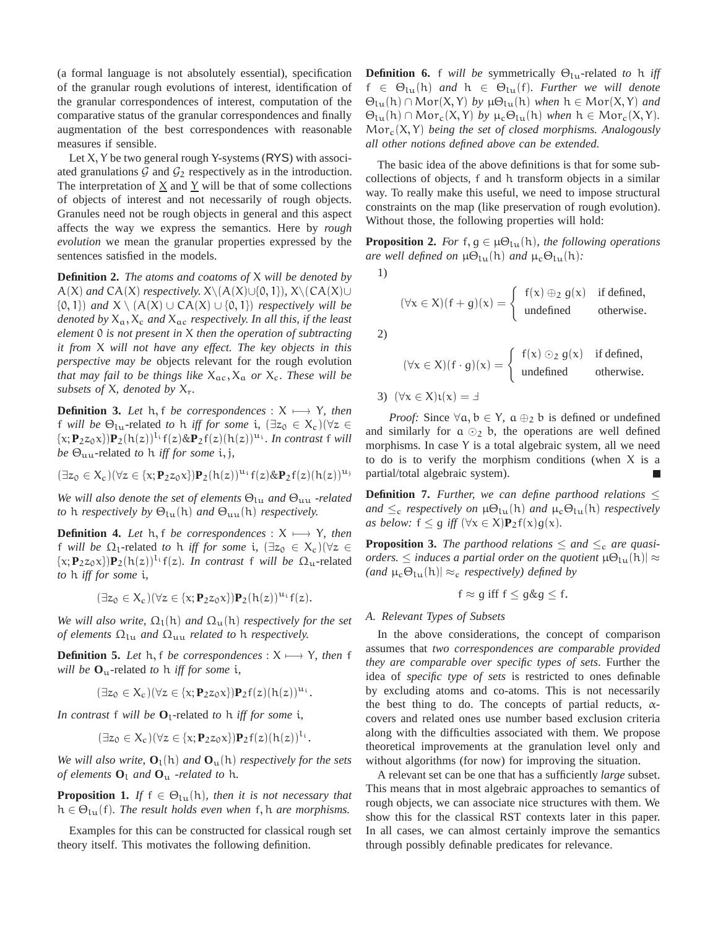(a formal language is not absolutely essential), specification of the granular rough evolutions of interest, identification of the granular correspondences of interest, computation of the comparative status of the granular correspondences and finally augmentation of the best correspondences with reasonable measures if sensible.

Let X, Y be two general rough Y-systems (RYS) with associated granulations  $G$  and  $G_2$  respectively as in the introduction. The interpretation of  $\underline{X}$  and  $\underline{Y}$  will be that of some collections of objects of interest and not necessarily of rough objects. Granules need not be rough objects in general and this aspect affects the way we express the semantics. Here by *rough evolution* we mean the granular properties expressed by the sentences satisfied in the models.

**Definition 2.** *The atoms and coatoms of* X *will be denoted by*  $A(X)$  *and*  $CA(X)$  *respectively.*  $X\setminus (A(X) \cup \{0, 1\})$ *,*  $X\setminus (CA(X) \cup$ {0, 1}) *and* X \ (A(X) ∪ CA(X) ∪ {0, 1}) *respectively will be denoted by*  $X_a$ ,  $X_c$  *and*  $X_{ac}$  *respectively. In all this, if the least element* 0 *is not present in* X *then the operation of subtracting it from* X *will not have any effect. The key objects in this perspective may be* objects relevant for the rough evolution *that may fail to be things like*  $X_{ac}$ ,  $X_a$  *or*  $X_c$ *. These will be subsets of*  $X$ *, denoted by*  $X_r$ *.* 

**Definition 3.** Let h, f be correspondences :  $X \mapsto Y$ , then f *will be*  $\Theta_{\text{lu}}$ -related *to* h *iff for some* i,  $(\exists z_0 \in X_c)(\forall z \in$  $\{x; \mathbf{P}_2 z_0 x\} \mathbf{P}_2(\mathfrak{h}(z))^{\mathfrak{l}_i} f(z) \& \mathbf{P}_2 f(z) (\mathfrak{h}(z))^{\mathfrak{u}_i}$ . In contrast f will *be* Θuu-related *to* h *iff for some* i, j*,*

$$
(\exists z_0\in X_c)(\forall z\in\{x;\mathbf{P}_2z_0x\})\mathbf{P}_2(h(z))^{\mathfrak{u}_i}\,f(z)\&\mathbf{P}_2f(z)(h(z))^{\mathfrak{u}_j}
$$

*We will also denote the set of elements*  $Θ_{111}$  *and*  $Θ_{111}$  *-related to* h *respectively* by  $\Theta_{\text{lu}}(h)$  *and*  $\Theta_{\text{uu}}(h)$  *respectively.* 

**Definition 4.** Let  $h$ , f *be correspondences* :  $X \rightarrow Y$ *, then* f *will be*  $\Omega_1$ -related *to* h *iff for some* i,  $(\exists z_0 \in X_c)(\forall z \in$  $\{x; \mathbf{P}_2 z_0 x\} \mathbf{P}_2(h(z))^{\mathbf{l}_i} f(z)$ *. In contrast* f *will be*  $\Omega_u$ -related *to* h *iff for some* i*,*

$$
(\exists z_0\in X_c)(\forall z\in\{x;\mathbf{P}_2z_0x\})\mathbf{P}_2(h(z))^{\mathbf{u}_\mathrm{i}}\,f(z).
$$

*We will also write,*  $\Omega_l(h)$  *and*  $\Omega_u(h)$  *respectively for the set of elements* Ωlu *and* Ωuu *related to* h *respectively.*

**Definition 5.** *Let* h, f *be correspondences* :  $X \rightarrow Y$ *, then* f *will be* **O**u-related *to* h *iff for some* i*,*

$$
(\exists z_0\in X_c)(\forall z\in\{x;\mathbf{P}_2z_0x\})\mathbf{P}_2f(z)(h(z))^{u_i}.
$$

*In contrast* f *will be* **O**l-related *to* h *iff for some* i*,*

$$
(\exists z_0\in X_c)(\forall z\in\{x;\mathbf{P}_2z_0x\})\mathbf{P}_2f(z)(h(z))^{l_i}.
$$

*We will also write,*  $O_l(h)$  *and*  $O_u(h)$  *respectively for the sets of elements*  $O_l$  *and*  $O_u$  *-related to* h.

**Proposition 1.** *If*  $f \in \Theta_{1u}(h)$ *, then it is not necessary that*  $h \in \Theta_{\text{lu}}(f)$ *. The result holds even when* f, h *are morphisms*.

Examples for this can be constructed for classical rough set theory itself. This motivates the following definition.

**Definition 6.** f *will be* symmetrically  $\Theta_{\text{lu}}$ -related *to* h *iff*  $f \in \Theta_{\text{lu}}(h)$  *and*  $h \in \Theta_{\text{lu}}(f)$ *. Further we will denote*  $\Theta_{\text{lu}}(h) \cap \text{Mor}(X, Y)$  *by*  $\mu \Theta_{\text{lu}}(h)$  *when*  $h \in \text{Mor}(X, Y)$  *and*  $\Theta_{\text{lu}}(h) \cap \text{Mor}_{\text{c}}(X, Y)$  *by*  $\mu_{\text{c}} \Theta_{\text{lu}}(h)$  *when*  $h \in \text{Mor}_{\text{c}}(X, Y)$ *.* Morc(X, Y) *being the set of closed morphisms. Analogously all other notions defined above can be extended.*

The basic idea of the above definitions is that for some subcollections of objects, f and h transform objects in a similar way. To really make this useful, we need to impose structural constraints on the map (like preservation of rough evolution). Without those, the following properties will hold:

**Proposition 2.** *For*  $f, g \in \mu\Theta_{\text{lu}}(h)$ *, the following operations are well defined on*  $\mu\Theta_{\text{lu}}(\text{h})$  *and*  $\mu_c\Theta_{\text{lu}}(\text{h})$ *:* 

1)

$$
(\forall x \in X)(f + g)(x) = \begin{cases} f(x) \oplus_2 g(x) & \text{if defined,} \\ \text{undefined} & \text{otherwise.} \end{cases}
$$

2)

$$
(\forall x \in X)(f \cdot g)(x) = \begin{cases} f(x) \odot_2 g(x) & \text{if defined,} \\ \text{undefined} & \text{otherwise.} \end{cases}
$$

3) 
$$
(\forall x \in X)\iota(x) = \exists
$$

*Proof:* Since  $\forall a, b \in Y$ ,  $a \oplus_2 b$  is defined or undefined and similarly for  $a \odot_2 b$ , the operations are well defined morphisms. In case Y is a total algebraic system, all we need to do is to verify the morphism conditions (when X is a partial/total algebraic system).

**Definition 7.** *Further, we can define parthood relations*  $\leq$ *and*  $\leq_c$  *respectively on*  $\mu\Theta_{lu}(h)$  *and*  $\mu_c\Theta_{lu}(h)$  *respectively as below:*  $f$  ≤  $g$  *iff* (∀ $x$  ∈  $X$ ) $P_2f(x)g(x)$ *.* 

**Proposition 3.** The parthood relations  $\leq$  and  $\leq_c$  are quasi*orders.*  $\leq$  *induces a partial order on the quotient*  $\mu\Theta_{1\mu}(h) \approx$ *(and*  $\mu_c \Theta_{\text{lu}}(\text{h}) \approx_c$  *respectively) defined by* 

$$
f \approx g \text{ iff } f \le g \& g \le f.
$$

#### *A. Relevant Types of Subsets*

In the above considerations, the concept of comparison assumes that *two correspondences are comparable provided they are comparable over specific types of sets*. Further the idea of *specific type of sets* is restricted to ones definable by excluding atoms and co-atoms. This is not necessarily the best thing to do. The concepts of partial reducts,  $\alpha$ covers and related ones use number based exclusion criteria along with the difficulties associated with them. We propose theoretical improvements at the granulation level only and without algorithms (for now) for improving the situation.

A relevant set can be one that has a sufficiently *large* subset. This means that in most algebraic approaches to semantics of rough objects, we can associate nice structures with them. We show this for the classical RST contexts later in this paper. In all cases, we can almost certainly improve the semantics through possibly definable predicates for relevance.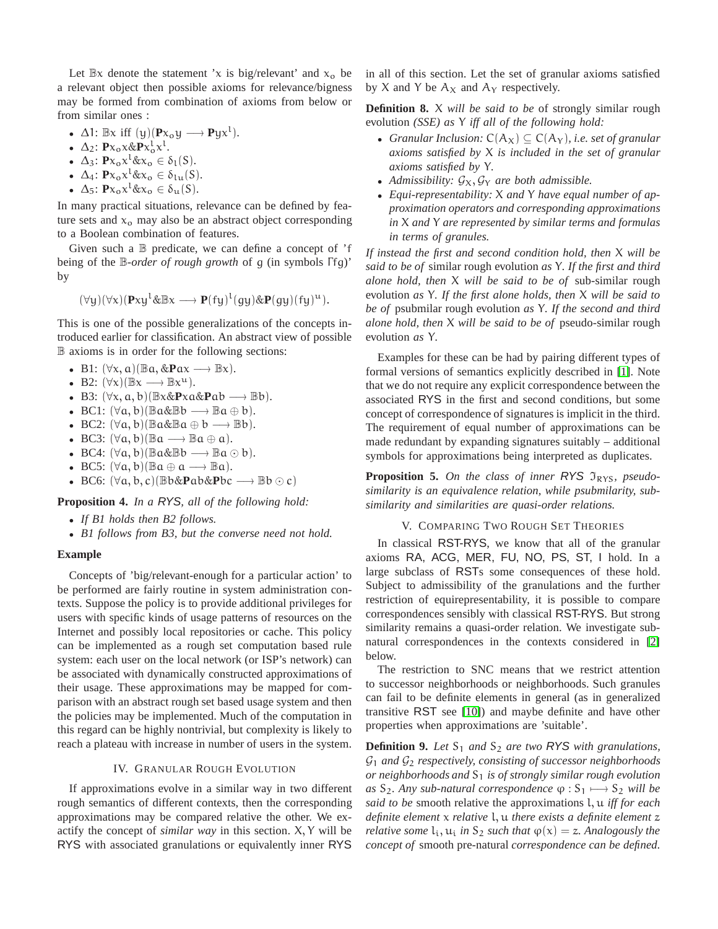Let  $\mathbb{B}x$  denote the statement 'x is big/relevant' and  $x_0$  be a relevant object then possible axioms for relevance/bigness may be formed from combination of axioms from below or from similar ones :

- $\Delta$ 1:  $\mathbb{B}x$  iff  $(y)(Px_0y \rightarrow Pyx^1)$ .
- $Δ_2$ : **P**x<sub>o</sub>x&**P**x<sub>o</sub><sup>1</sup><sub>*x*</sub><sup>1</sup>.
- $\Delta_3$ : **P**x<sub>o</sub> x<sup>1</sup> & x<sub>o</sub> ∈ δ<sub>l</sub>(S).
- $\Delta_4$ : **P**x<sub>o</sub> x<sup>1</sup> &x<sub>o</sub> ∈ δ<sub>lu</sub>(S).
- $\Delta_5$ : **P**x<sub>o</sub> x<sup>l</sup> &x<sub>o</sub> ∈ δ<sub>u</sub>(S).

In many practical situations, relevance can be defined by feature sets and  $x_0$  may also be an abstract object corresponding to a Boolean combination of features.

Given such a B predicate, we can define a concept of 'f being of the B*-order of rough growth* of g (in symbols Γfg)' by

$$
(\forall y)(\forall x)(\mathbf{P} xy^{1} \& \mathbb{B} x \longrightarrow \mathbf{P}(fy)^{1}(gy) \& \mathbf{P}(gy)(fy)^{u}).
$$

This is one of the possible generalizations of the concepts introduced earlier for classification. An abstract view of possible B axioms is in order for the following sections:

- B1:  $(\forall x, a)(\mathbb{B}a, \& \mathbf{P}ax \longrightarrow \mathbb{B}x).$
- B2:  $(\forall x)(\mathbb{B}x \longrightarrow \mathbb{B}x^u)$ .
- B3: (∀x, a, b)(Bx&**P**xa&**P**ab <sup>−</sup><sup>→</sup> <sup>B</sup>b).
- BC1:  $(\forall a, b)(\mathbb{B}a\&\mathbb{B}b \longrightarrow \mathbb{B}a \oplus b).$
- BC2:  $(\forall a, b)(\mathbb{B}a\&\mathbb{B}a \oplus b \longrightarrow \mathbb{B}b).$
- BC3:  $(\forall a, b)(\mathbb{B}a \longrightarrow \mathbb{B}a \oplus a).$
- BC4:  $(\forall a, b)(\mathbb{B}a\&\mathbb{B}b \longrightarrow \mathbb{B}a\odot b).$
- BC5:  $(\forall a, b)(\mathbb{B}a \oplus a \longrightarrow \mathbb{B}a)$ .
- BC6: (∀a, b, c)(Bb&**P**ab&**P**bc <sup>−</sup><sup>→</sup> <sup>B</sup><sup>b</sup> <sup>⊙</sup> <sup>c</sup>)

**Proposition 4.** *In a* RYS*, all of the following hold:*

- *If B1 holds then B2 follows.*
- *B1 follows from B3, but the converse need not hold.*

# **Example**

Concepts of 'big/relevant-enough for a particular action' to be performed are fairly routine in system administration contexts. Suppose the policy is to provide additional privileges for users with specific kinds of usage patterns of resources on the Internet and possibly local repositories or cache. This policy can be implemented as a rough set computation based rule system: each user on the local network (or ISP's network) can be associated with dynamically constructed approximations of their usage. These approximations may be mapped for comparison with an abstract rough set based usage system and then the policies may be implemented. Much of the computation in this regard can be highly nontrivial, but complexity is likely to reach a plateau with increase in number of users in the system.

# IV. GRANULAR ROUGH EVOLUTION

If approximations evolve in a similar way in two different rough semantics of different contexts, then the corresponding approximations may be compared relative the other. We exactify the concept of *similar way* in this section. X, Y will be RYS with associated granulations or equivalently inner RYS in all of this section. Let the set of granular axioms satisfied by X and Y be  $A_X$  and  $A_Y$  respectively.

**Definition 8.** X *will be said to be* of strongly similar rough evolution *(SSE) as* Y *iff all of the following hold:*

- *Granular Inclusion:*  $C(A_X) \subset C(A_Y)$ *, i.e. set of granular axioms satisfied by* X *is included in the set of granular axioms satisfied by* Y*.*
- *Admissibility:*  $G_X$ ,  $G_Y$  *are both admissible.*
- *Equi-representability:* X *and* Y *have equal number of approximation operators and corresponding approximations in* X *and* Y *are represented by similar terms and formulas in terms of granules.*

*If instead the first and second condition hold, then* X *will be said to be of* similar rough evolution *as* Y*. If the first and third alone hold, then* X *will be said to be of* sub-similar rough evolution *as* Y*. If the first alone holds, then* X *will be said to be of* psubmilar rough evolution *as* Y*. If the second and third alone hold, then* X *will be said to be of* pseudo-similar rough evolution *as* Y*.*

Examples for these can be had by pairing different types of formal versions of semantics explicitly described in [\[1\]](#page-7-0). Note that we do not require any explicit correspondence between the associated RYS in the first and second conditions, but some concept of correspondence of signatures is implicit in the third. The requirement of equal number of approximations can be made redundant by expanding signatures suitably – additional symbols for approximations being interpreted as duplicates.

**Proposition 5.** On the class of inner RYS  $\mathfrak{I}_{RYS}$ , pseudo*similarity is an equivalence relation, while psubmilarity, subsimilarity and similarities are quasi-order relations.*

### V. COMPARING TWO ROUGH SET THEORIES

In classical RST-RYS, we know that all of the granular axioms RA, ACG, MER, FU, NO, PS, ST, I hold. In a large subclass of RSTs some consequences of these hold. Subject to admissibility of the granulations and the further restriction of equirepresentability, it is possible to compare correspondences sensibly with classical RST-RYS. But strong similarity remains a quasi-order relation. We investigate subnatural correspondences in the contexts considered in [\[2\]](#page-7-1) below.

The restriction to SNC means that we restrict attention to successor neighborhoods or neighborhoods. Such granules can fail to be definite elements in general (as in generalized transitive RST see [\[10\]](#page-8-0)) and maybe definite and have other properties when approximations are 'suitable'.

**Definition 9.** Let  $S_1$  and  $S_2$  are two RYS with granulations, G<sup>1</sup> *and* G<sup>2</sup> *respectively, consisting of successor neighborhoods or neighborhoods and* S<sup>1</sup> *is of strongly similar rough evolution*  $as S_2$ *. Any sub-natural correspondence*  $\varphi$  :  $S_1$  →  $S_2$  *will be said to be* smooth relative the approximations l, u *iff for each definite element* x *relative* l, u *there exists a definite element* z *relative some*  $l_i$ ,  $u_i$  *in*  $S_2$  *such that*  $\varphi(x) = z$ *. Analogously the concept of* smooth pre-natural *correspondence can be defined.*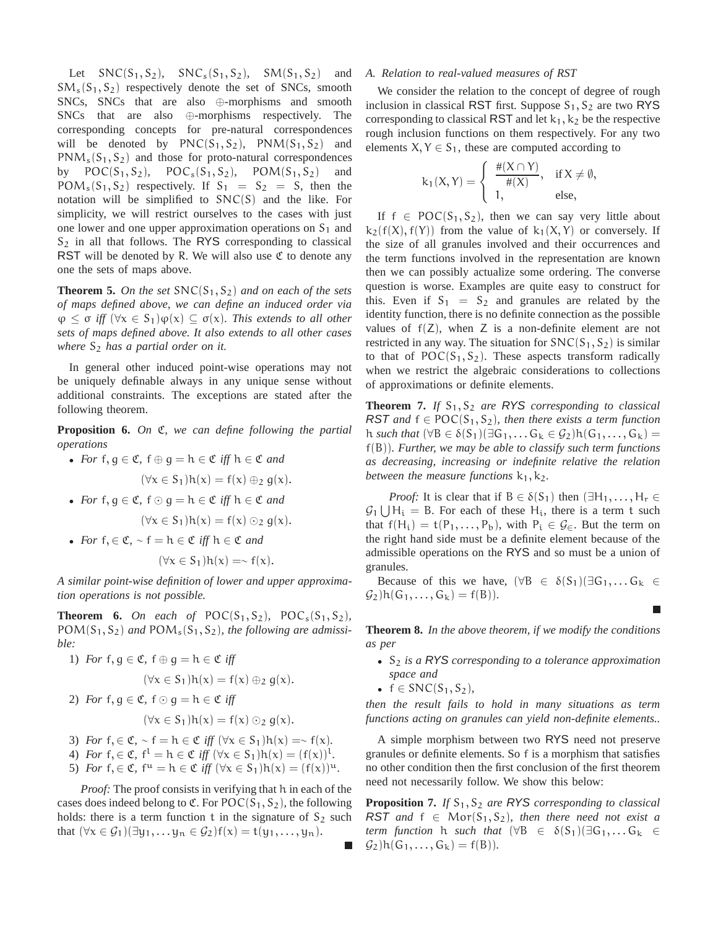Let  $SNC(S_1, S_2)$ ,  $SNC_s(S_1, S_2)$ ,  $SM(S_1, S_2)$  and  $SM_s(S_1, S_2)$  respectively denote the set of SNCs, smooth SNCs, SNCs that are also ⊕-morphisms and smooth SNCs that are also ⊕-morphisms respectively. The corresponding concepts for pre-natural correspondences will be denoted by  $PNC(S_1, S_2)$ ,  $PNM(S_1, S_2)$  and  $PNM_s(S_1, S_2)$  and those for proto-natural correspondences by  $POC(S_1, S_2)$ ,  $POC<sub>s</sub>(S_1, S_2)$ ,  $POM(S_1, S_2)$  and  $POM<sub>s</sub>(S<sub>1</sub>, S<sub>2</sub>)$  respectively. If  $S<sub>1</sub> = S<sub>2</sub> = S$ , then the notation will be simplified to SNC(S) and the like. For simplicity, we will restrict ourselves to the cases with just one lower and one upper approximation operations on  $S_1$  and  $S_2$  in all that follows. The RYS corresponding to classical RST will be denoted by R. We will also use  $\mathfrak C$  to denote any one the sets of maps above.

**Theorem 5.** On the set  $SNC(S_1, S_2)$  and on each of the sets *of maps defined above, we can define an induced order via*  $\varphi \leq \sigma$  *iff*  $(\forall x \in S_1) \varphi(x) \subseteq \sigma(x)$ *. This extends to all other sets of maps defined above. It also extends to all other cases where* S<sup>2</sup> *has a partial order on it.*

In general other induced point-wise operations may not be uniquely definable always in any unique sense without additional constraints. The exceptions are stated after the following theorem.

**Proposition 6.** *On* C*, we can define following the partial operations*

- *For*  $f, g \in \mathfrak{C}$ ,  $f \oplus g = h \in \mathfrak{C}$  *iff*  $h \in \mathfrak{C}$  *and*  $(\forall x \in S_1)$ h $(x) = f(x) \oplus_2 g(x)$ .
- *For* f, g ∈ C*,* f ⊙ g = h ∈ C *iff* h ∈ C *and*

$$
(\forall x \in S_1)h(x) = f(x) \odot_2 g(x).
$$

• *For* f, ∈ C*,* ∼ f = h ∈ C *iff* h ∈ C *and*

$$
(\forall x \in S_1)h(x) = \sim f(x).
$$

*A similar point-wise definition of lower and upper approximation operations is not possible.*

**Theorem 6.** On each of POC( $S_1$ ,  $S_2$ ), POC<sub>s</sub>( $S_1$ ,  $S_2$ )*,* POM(S<sub>1</sub>, S<sub>2</sub>) and POM<sub>s</sub>(S<sub>1</sub>, S<sub>2</sub>), the following are admissi*ble:*

1) *For*  $f, g \in \mathfrak{C}$ ,  $f \oplus g = h \in \mathfrak{C}$  *iff* 

$$
(\forall x \in S_1)h(x) = f(x) \oplus_2 g(x).
$$

2) *For*  $f, g \in \mathfrak{C}$ ,  $f \odot g = h \in \mathfrak{C}$  *iff* 

$$
(\forall x \in S_1)h(x) = f(x) \odot_2 g(x).
$$

- 3) *For*  $f, \in \mathfrak{C}, \sim f = h \in \mathfrak{C}$  *iff*  $(\forall x \in S_1)h(x) = \sim f(x)$ *.*
- 4) *For*  $f, \in \mathfrak{C}, f^1 = h \in \mathfrak{C}$  *iff*  $(\forall x \in S_1)h(x) = (f(x))^1$ .
- 5) *For*  $f, \in \mathfrak{C}$ ,  $f^{\mathfrak{u}} = h \in \mathfrak{C}$  *iff*  $(\forall x \in S_1)h(x) = (f(x))^{\mathfrak{u}}$ .

*Proof:* The proof consists in verifying that h in each of the cases does indeed belong to  $\mathfrak{C}$ . For POC(S<sub>1</sub>, S<sub>2</sub>), the following holds: there is a term function t in the signature of  $S_2$  such that  $(\forall x \in \mathcal{G}_1)(\exists y_1, \dots y_n \in \mathcal{G}_2) f(x) = t(y_1, \dots, y_n).$ 

#### *A. Relation to real-valued measures of RST*

We consider the relation to the concept of degree of rough inclusion in classical RST first. Suppose  $S_1, S_2$  are two RYS corresponding to classical RST and let  $k_1$ ,  $k_2$  be the respective rough inclusion functions on them respectively. For any two elements  $X, Y \in S_1$ , these are computed according to

$$
k_1(X,Y) = \begin{cases} \frac{\#(X \cap Y)}{\#(X)}, & \text{if } X \neq \emptyset, \\ 1, & \text{else,} \end{cases}
$$

If  $f \in \text{POC}(S_1, S_2)$ , then we can say very little about  $k_2(f(X), f(Y))$  from the value of  $k_1(X, Y)$  or conversely. If the size of all granules involved and their occurrences and the term functions involved in the representation are known then we can possibly actualize some ordering. The converse question is worse. Examples are quite easy to construct for this. Even if  $S_1 = S_2$  and granules are related by the identity function, there is no definite connection as the possible values of  $f(Z)$ , when Z is a non-definite element are not restricted in any way. The situation for  $SNC(S_1, S_2)$  is similar to that of  $POC(S_1, S_2)$ . These aspects transform radically when we restrict the algebraic considerations to collections of approximations or definite elements.

**Theorem 7.** *If*  $S_1$ ,  $S_2$  *are RYS corresponding to classical* RST and  $f \in \text{POC}(S_1, S_2)$ , then there exists a term function h *such that*  $(\forall B \in \delta(S_1)(\exists G_1, \ldots, G_k \in \mathcal{G}_2)h(G_1, \ldots, G_k)$  = f(B))*. Further, we may be able to classify such term functions as decreasing, increasing or indefinite relative the relation between the measure functions*  $k_1, k_2$ *.* 

*Proof:* It is clear that if  $B \in \delta(S_1)$  then  $(\exists H_1, \ldots, H_r \in$  $G_1 \bigcup H_i = B$ . For each of these H<sub>i</sub>, there is a term t such that  $f(H_i) = f(P_1, \ldots, P_b)$ , with  $P_i \in \mathcal{G}_{\in}$ . But the term on the right hand side must be a definite element because of the admissible operations on the RYS and so must be a union of granules.

Because of this we have,  $(\forall B \in \delta(S_1) \mid \exists G_1, \ldots G_k \in$  $G_2$ )h( $G_1, ..., G_k$ ) = f(B)).

**Theorem 8.** *In the above theorem, if we modify the conditions as per*

- S<sup>2</sup> *is a* RYS *corresponding to a tolerance approximation space and*
- $f \in SNC(S_1, S_2)$ ,

*then the result fails to hold in many situations as term functions acting on granules can yield non-definite elements..*

A simple morphism between two RYS need not preserve granules or definite elements. So f is a morphism that satisfies no other condition then the first conclusion of the first theorem need not necessarily follow. We show this below:

**Proposition 7.** *If*  $S_1$ ,  $S_2$  *are RYS corresponding to classical* RST and  $f \in Mor(S_1, S_2)$ , then there need not exist a *term function* h *such that*  $(\forall B \in \delta(S_1)(\exists G_1, \ldots G_k \in$  $G_2$ )h( $G_1, ..., G_k$ ) = f(B)).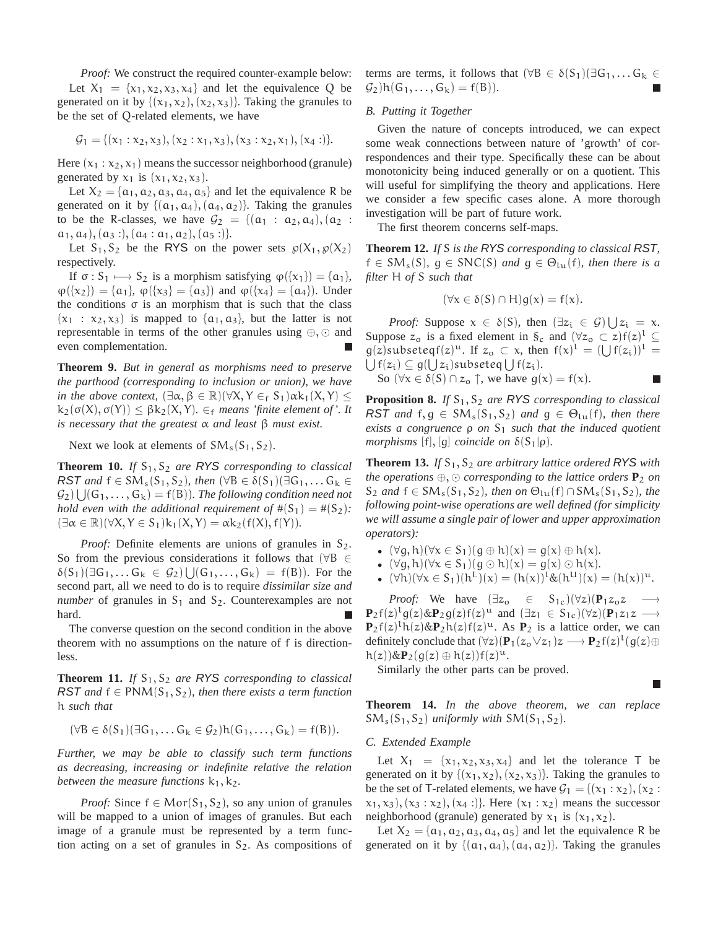*Proof:* We construct the required counter-example below: Let  $X_1 = \{x_1, x_2, x_3, x_4\}$  and let the equivalence Q be generated on it by  $\{(\mathbf{x}_1, \mathbf{x}_2), (\mathbf{x}_2, \mathbf{x}_3)\}$ . Taking the granules to be the set of Q-related elements, we have

$$
\mathcal{G}_1 = \{ (x_1 : x_2, x_3), (x_2 : x_1, x_3), (x_3 : x_2, x_1), (x_4 : ) \}.
$$

Here  $(x_1 : x_2, x_1)$  means the successor neighborhood (granule) generated by  $x_1$  is  $(x_1, x_2, x_3)$ .

Let  $X_2 = \{a_1, a_2, a_3, a_4, a_5\}$  and let the equivalence R be generated on it by  $\{(\alpha_1, \alpha_4),(\alpha_4, \alpha_2)\}\$ . Taking the granules to be the R-classes, we have  $\mathcal{G}_2 = \{(\alpha_1 : \alpha_2, \alpha_4), (\alpha_2 : \alpha_3, \alpha_4)\}$  $a_1, a_4$ ,  $(a_3$  :),  $(a_4 : a_1, a_2)$ ,  $(a_5 :)$ .

Let  $S_1, S_2$  be the RYS on the power sets  $\mathfrak{g}(X_1, \mathfrak{g}(X_2))$ respectively.

If  $\sigma: S_1 \longmapsto S_2$  is a morphism satisfying  $\varphi({x_1}) = {\alpha_1}$ ,  $\varphi({x_2}) = {\alpha_1}, \varphi({x_3} = {\alpha_3})$  and  $\varphi({x_4} = {\alpha_4})$ . Under the conditions  $\sigma$  is an morphism that is such that the class  $(x_1 : x_2, x_3)$  is mapped to  $\{a_1, a_3\}$ , but the latter is not representable in terms of the other granules using ⊕, ⊙ and even complementation.

**Theorem 9.** *But in general as morphisms need to preserve the parthood (corresponding to inclusion or union), we have in the above context,*  $(\exists \alpha, \beta \in \mathbb{R}) (\forall X, Y \in f S_1) \alpha k_1(X, Y) \leq$  $k_2(\sigma(X), \sigma(Y)) \leq \beta k_2(X, Y)$ .  $\in$ <sub>f</sub> means 'finite element of'. It *is necessary that the greatest* α *and least* β *must exist.*

Next we look at elements of  $SM_s(S_1, S_2)$ .

**Theorem 10.** *If*  $S_1$ ,  $S_2$  *are RYS corresponding to classical*  $\overline{RST}$  *and*  $f \in SM_s(S_1, S_2)$ *, then*  $(\forall B \in \delta(S_1) \cup \exists G_1, \ldots G_k \in$  $\mathcal{G}_2$  )  $\bigcup$   $(G_1, \ldots, G_k) = f(B)$ *). The following condition need not hold even with the additional requirement of*  $\#(S_1) = \#(S_2)$ *:*  $(\exists \alpha \in \mathbb{R})(\forall X, Y \in S_1)k_1(X, Y) = \alpha k_2(f(X), f(Y)).$ 

*Proof:* Definite elements are unions of granules in  $S_2$ . So from the previous considerations it follows that ( $\forall B \in$  $\delta(S_1)(\exists G_1,\ldots G_k \in \mathcal{G}_2) \bigcup (G_1,\ldots,G_k) = f(B)$ . For the second part, all we need to do is to require *dissimilar size and number* of granules in  $S_1$  and  $S_2$ . Counterexamples are not hard.

The converse question on the second condition in the above theorem with no assumptions on the nature of f is directionless.

**Theorem 11.** *If*  $S_1$ ,  $S_2$  *are RYS corresponding to classical* RST and  $f \in PNM(S_1, S_2)$ , then there exists a term function h *such that*

$$
(\forall B \in \delta(S_1)(\exists G_1, \ldots G_k \in \mathcal{G}_2)h(G_1, \ldots, G_k) = f(B)).
$$

*Further, we may be able to classify such term functions as decreasing, increasing or indefinite relative the relation between the measure functions*  $k_1, k_2$ *.* 

*Proof:* Since  $f \in Mor(S_1, S_2)$ , so any union of granules will be mapped to a union of images of granules. But each image of a granule must be represented by a term function acting on a set of granules in  $S_2$ . As compositions of

terms are terms, it follows that  $(\forall B \in \delta(S_1) \mid \exists G_1, \ldots G_k \in$  $G_2$ )h( $G_1, ..., G_k$ ) = f(B)).

# *B. Putting it Together*

Given the nature of concepts introduced, we can expect some weak connections between nature of 'growth' of correspondences and their type. Specifically these can be about monotonicity being induced generally or on a quotient. This will useful for simplifying the theory and applications. Here we consider a few specific cases alone. A more thorough investigation will be part of future work.

The first theorem concerns self-maps.

**Theorem 12.** *If* S *is the* RYS *corresponding to classical* RST*,*  $f \in SM_s(S)$ ,  $g \in SNC(S)$  *and*  $g \in \Theta_{lu}(f)$ *, then there is a filter* H *of* S *such that*

$$
(\forall x \in \delta(S) \cap H)g(x) = f(x).
$$

*Proof:* Suppose  $x \in \delta(S)$ , then  $(\exists z_i \in \mathcal{G}) \bigcup z_i = x$ . Suppose  $z_0$  is a fixed element in  $\S_c$  and  $(\forall z_0 \subset z) f(z)^1 \subseteq$  $g(z)$ subseteqf(z)<sup>u</sup>. If  $z_0 \subset x$ , then  $f(x)^1 = (\bigcup f(z_i))^1 =$  $\bigcup f(z_i) \subseteq g(\bigcup z_i)$ subseteq $\bigcup f(z_i)$ .

So 
$$
(\forall x \in \delta(S) \cap z_o \uparrow
$$
, we have  $g(x) = f(x)$ .

**Proposition 8.** If  $S_1$ ,  $S_2$  are RYS corresponding to classical  $\overline{RST}$  *and*  $f, g \in SM_s(S_1, S_2)$  *and*  $g \in \Theta_{1u}(f)$ *, then there exists a congruence ρ on*  $S_1$  *such that the induced quotient morphisms* [f], [q] *coincide on*  $\delta(S_1|\rho)$ *.* 

**Theorem 13.** *If* S<sub>1</sub>, S<sub>2</sub> *are arbitrary lattice ordered* RYS *with the operations*  $\oplus$ ,  $\odot$  *corresponding to the lattice orders*  $P_2$  *on*  $S_2$  *and*  $f ∈ SM_s(S_1, S_2)$ *, then on*  $Θ_{1u}(f) ∩ SM_s(S_1, S_2)$ *, the following point-wise operations are well defined (for simplicity we will assume a single pair of lower and upper approximation operators):*

• 
$$
(\forall g, h)(\forall x \in S_1)(g \oplus h)(x) = g(x) \oplus h(x).
$$

• 
$$
(\forall g, h)(\forall x \in S_1)(g \odot h)(x) = g(x) \odot h(x).
$$

•  $(\forall h)(\forall x \in S_1)(h^L)(x) = (h(x))^l \& (h^U)(x) = (h(x))^u.$ 

*Proof:* We have  $(\exists z_0 \in S_{1c})(\forall z)(P_1z_0z \rightarrow$  $\mathbf{P}_2 f(z)^1 g(z) \& \mathbf{P}_2 g(z) f(z)^1$  and  $(\exists z_1 \in S_{1c})(\forall z)(\mathbf{P}_1 z_1 z \rightarrow \mathbf{P}_1 f(z) \& \mathbf{P}_2 g(z) \& \mathbf{P}_2 g(z) \& \mathbf{P}_3 f(z) \& \mathbf{P}_4 g(z) \& \mathbf{P}_5 g(z) \& \mathbf{P}_6 g(z) \& \mathbf{P}_7 g(z) \& \mathbf{P}_8 g(z) \& \mathbf{P}_8 g(z) \& \mathbf{P}_9 g(z) \& \mathbf{P}_9 g(z) \& \mathbf{P}_9 g(z)$  $P_2 f(z)^{\text{th}}(z) \& P_2 h(z) f(z)^{\text{th}}$ . As  $P_2$  is a lattice order, we can definitely conclude that  $(\forall z)(\mathbf{P}_1(z_0 \lor z_1)z \longrightarrow \mathbf{P}_2f(z)^1(g(z)) \oplus$  $h(z)$  $\&P_2(g(z) \oplus h(z))f(z)^u$ .

Similarly the other parts can be proved.

$$
\qquad \qquad \blacksquare
$$

**Theorem 14.** *In the above theorem, we can replace*  $SM_s(S_1, S_2)$  *uniformly with*  $SM(S_1, S_2)$ *.* 

## *C. Extended Example*

Let  $X_1 = \{x_1, x_2, x_3, x_4\}$  and let the tolerance T be generated on it by  $\{(\mathbf{x}_1, \mathbf{x}_2), (\mathbf{x}_2, \mathbf{x}_3)\}$ . Taking the granules to be the set of T-related elements, we have  $\mathcal{G}_1 = \{ (x_1 : x_2), (x_2 :$  $x_1, x_3$ ,  $(x_3 : x_2)$ ,  $(x_4 :)$ . Here  $(x_1 : x_2)$  means the successor neighborhood (granule) generated by  $x_1$  is  $(x_1, x_2)$ .

Let  $X_2 = \{\alpha_1, \alpha_2, \alpha_3, \alpha_4, \alpha_5\}$  and let the equivalence R be generated on it by  $\{(\alpha_1, \alpha_4),(\alpha_4, \alpha_2)\}\$ . Taking the granules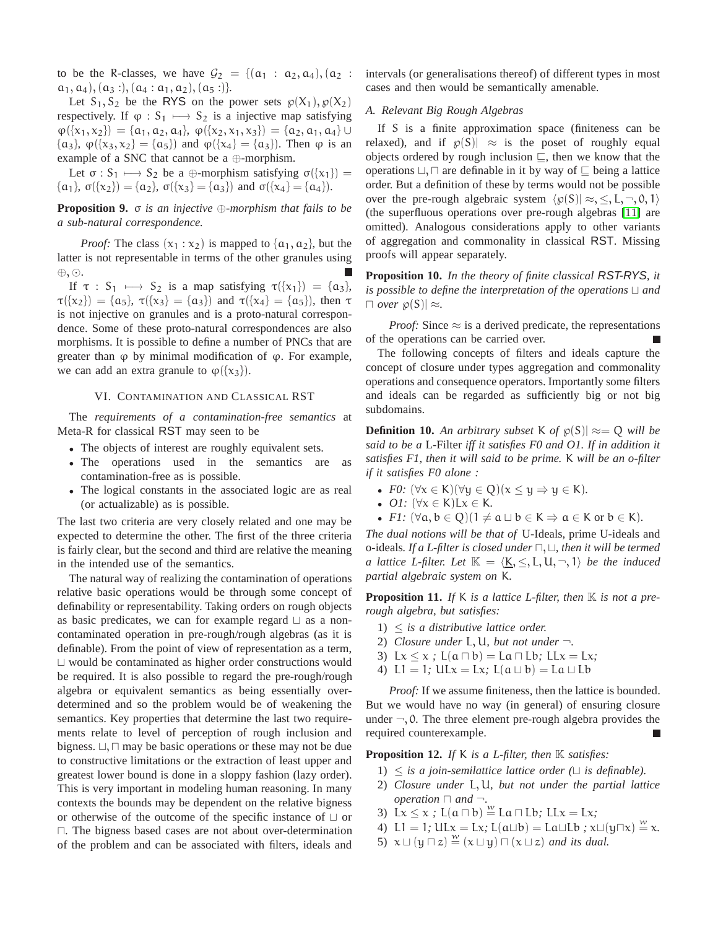to be the R-classes, we have  $\mathcal{G}_2 = \{(\mathfrak{a}_1 : \mathfrak{a}_2, \mathfrak{a}_4), (\mathfrak{a}_2 : \mathfrak{a}_3, \mathfrak{a}_4)\}$  $a_1, a_4$ ,  $(a_3:), (a_4: a_1, a_2), (a_5:)$ .

Let  $S_1, S_2$  be the RYS on the power sets  $\mathcal{P}(X_1), \mathcal{P}(X_2)$ respectively. If  $\varphi$  : S<sub>1</sub>  $\longmapsto$  S<sub>2</sub> is a injective map satisfying  $\varphi({x_1, x_2}) = {a_1, a_2, a_4}, \varphi({x_2, x_1, x_3}) = {a_2, a_1, a_4} \cup$ { $\alpha_3$ },  $\varphi$ {{ $x_3, x_2$ } = { $\alpha_5$ }} and  $\varphi$ {{ $x_4$ } = { $\alpha_3$ }}. Then  $\varphi$  is an example of a SNC that cannot be a ⊕-morphism.

Let  $\sigma : S_1 \longmapsto S_2$  be a ⊕-morphism satisfying  $\sigma({x_1})$  = { $a_1$ },  $\sigma({x_2}) = {a_2}$ ,  $\sigma({x_3}) = {a_3}$ } and  $\sigma({x_4}) = {a_4}$ }.

**Proposition 9.** σ *is an injective* ⊕*-morphism that fails to be a sub-natural correspondence.*

*Proof:* The class  $(x_1 : x_2)$  is mapped to  $\{a_1, a_2\}$ , but the latter is not representable in terms of the other granules using ⊕, ⊙. Ш

If  $\tau$  :  $S_1 \longmapsto S_2$  is a map satisfying  $\tau({x_1}) = {\alpha_3}$ ,  $\tau({x_2}) = {\alpha_5}$ ,  $\tau({x_3} = {\alpha_3})$  and  $\tau({x_4} = {\alpha_5})$ , then  $\tau$ is not injective on granules and is a proto-natural correspondence. Some of these proto-natural correspondences are also morphisms. It is possible to define a number of PNCs that are greater than  $\varphi$  by minimal modification of  $\varphi$ . For example, we can add an extra granule to  $\varphi({x_3})$ .

#### VI. CONTAMINATION AND CLASSICAL RST

The *requirements of a contamination-free semantics* at Meta-R for classical RST may seen to be

- The objects of interest are roughly equivalent sets.
- The operations used in the semantics are as contamination-free as is possible.
- The logical constants in the associated logic are as real (or actualizable) as is possible.

The last two criteria are very closely related and one may be expected to determine the other. The first of the three criteria is fairly clear, but the second and third are relative the meaning in the intended use of the semantics.

The natural way of realizing the contamination of operations relative basic operations would be through some concept of definability or representability. Taking orders on rough objects as basic predicates, we can for example regard ⊔ as a noncontaminated operation in pre-rough/rough algebras (as it is definable). From the point of view of representation as a term, ⊔ would be contaminated as higher order constructions would be required. It is also possible to regard the pre-rough/rough algebra or equivalent semantics as being essentially overdetermined and so the problem would be of weakening the semantics. Key properties that determine the last two requirements relate to level of perception of rough inclusion and bigness. ⊔, ⊓ may be basic operations or these may not be due to constructive limitations or the extraction of least upper and greatest lower bound is done in a sloppy fashion (lazy order). This is very important in modeling human reasoning. In many contexts the bounds may be dependent on the relative bigness or otherwise of the outcome of the specific instance of ⊔ or ⊓. The bigness based cases are not about over-determination of the problem and can be associated with filters, ideals and

intervals (or generalisations thereof) of different types in most cases and then would be semantically amenable.

## *A. Relevant Big Rough Algebras*

If S is a finite approximation space (finiteness can be relaxed), and if  $\varphi(S)$   $\approx$  is the poset of roughly equal objects ordered by rough inclusion ⊑, then we know that the operations ⊔, ⊓ are definable in it by way of ⊑ being a lattice order. But a definition of these by terms would not be possible over the pre-rough algebraic system  $\langle \varphi(S)| \approx, \leq, L, \neg, 0, 1 \rangle$ (the superfluous operations over pre-rough algebras [\[11\]](#page-8-1) are omitted). Analogous considerations apply to other variants of aggregation and commonality in classical RST. Missing proofs will appear separately.

**Proposition 10.** *In the theory of finite classical* RST-RYS*, it is possible to define the interpretation of the operations* ⊔ *and* ⊓ *over* ℘(S)| ≈*.*

*Proof:* Since  $\approx$  is a derived predicate, the representations of the operations can be carried over.

The following concepts of filters and ideals capture the concept of closure under types aggregation and commonality operations and consequence operators. Importantly some filters and ideals can be regarded as sufficiently big or not big subdomains.

**Definition 10.** An arbitrary subset K of  $\varphi(S) \approx Q$  will be *said to be a* L-Filter *iff it satisfies F0 and O1. If in addition it satisfies F1, then it will said to be prime.* K *will be an o-filter if it satisfies F0 alone :*

- *F0:*  $(\forall x \in K)(\forall y \in Q)(x \leq y \Rightarrow y \in K)$ .
- *O1:* (∀x ∈ K)Lx ∈ K*.*
- *F1:*  $(\forall a, b \in Q)(1 \neq a \sqcup b \in K \Rightarrow a \in K \text{ or } b \in K)$ .

*The dual notions will be that of* U-Ideals, prime U-ideals and o-ideals*. If a L-filter is closed under* ⊓, ⊔*, then it will be termed a lattice L-filter. Let*  $\mathbb{K} = \langle \mathbf{K}, \leq, L, U, \neg, 1 \rangle$  *be the induced partial algebraic system on* K*.*

**Proposition 11.** If K is a lattice L-filter, then  $\mathbb{K}$  is not a pre*rough algebra, but satisfies:*

- 1) ≤ *is a distributive lattice order.*
- 2) *Closure under* L, U*, but not under* ¬*.*
- 3) Lx ≤ x *;* L(a ⊓ b) = La ⊓ Lb*;* LLx = Lx*;*
- 4) L1 = 1*;* ULx = Lx*;* L(a ⊔ b) = La ⊔ Lb

*Proof:* If we assume finiteness, then the lattice is bounded. But we would have no way (in general) of ensuring closure under  $\neg$ , 0. The three element pre-rough algebra provides the required counterexample.

**Proposition 12.** *If* K *is a L-filter, then* K *satisfies:*

- 1) ≤ *is a join-semilattice lattice order (*⊔ *is definable).*
- 2) *Closure under* L, U*, but not under the partial lattice operation* ⊓ *and* ¬*.*
- 3) L $x \leq x$ ; L( $a \sqcap b$ )  $\stackrel{w}{=}$  La  $\sqcap$  Lb; LL $x =$  Lx;
- 4) L1 = 1; ULx = Lx; L(a $\Box b$ ) = La $\Box$ Lb; x $\Box (y \Box x) \stackrel{w}{=} x$ .
- 5)  $x \sqcup (y \sqcap z) \stackrel{w}{=} (x \sqcup y) \sqcap (x \sqcup z)$  *and its dual.*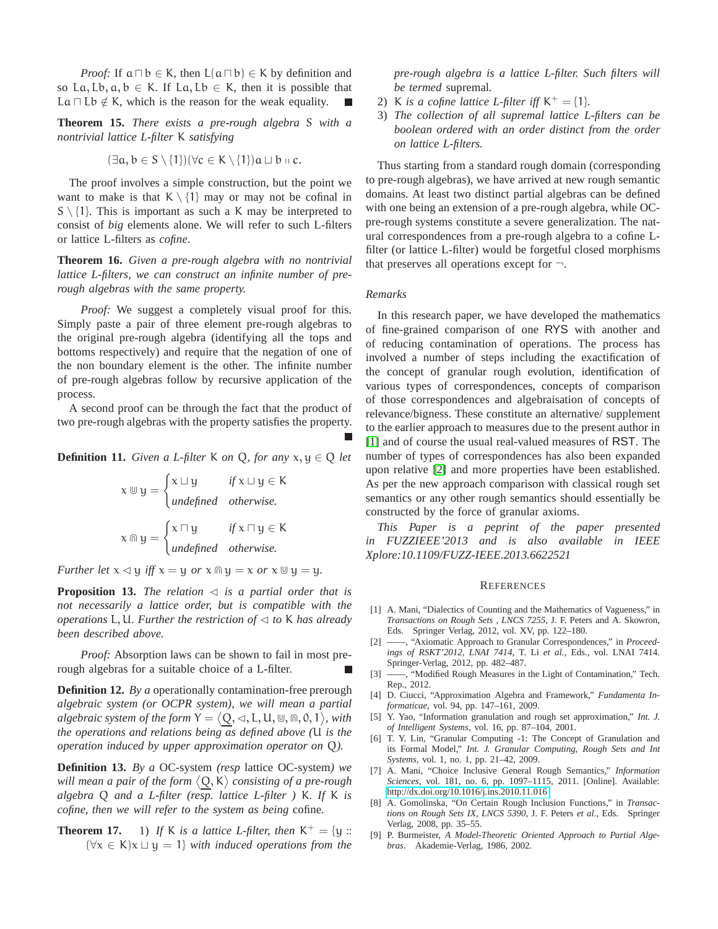*Proof:* If  $a \Box b \in K$ , then  $L(a \Box b) \in K$  by definition and so La, Lb,  $a, b \in K$ . If La, Lb  $\in K$ , then it is possible that La  $\Box$  Lb  $\notin$  K, which is the reason for the weak equality.

**Theorem 15.** *There exists a pre-rough algebra* S *with a nontrivial lattice L-filter* K *satisfying*

$$
(\exists a, b \in S \setminus \{1\})(\forall c \in K \setminus \{1\}) a \sqcup b \shortparallel c.
$$

The proof involves a simple construction, but the point we want to make is that  $K \setminus \{1\}$  may or may not be cofinal in  $S \setminus \{1\}$ . This is important as such a K may be interpreted to consist of *big* elements alone. We will refer to such L-filters or lattice L-filters as *cofine*.

**Theorem 16.** *Given a pre-rough algebra with no nontrivial lattice L-filters, we can construct an infinite number of prerough algebras with the same property.*

*Proof:* We suggest a completely visual proof for this. Simply paste a pair of three element pre-rough algebras to the original pre-rough algebra (identifying all the tops and bottoms respectively) and require that the negation of one of the non boundary element is the other. The infinite number of pre-rough algebras follow by recursive application of the process.

A second proof can be through the fact that the product of two pre-rough algebras with the property satisfies the property.

**Definition 11.** *Given a L-filter* K *on* Q, *for any*  $x, y \in Q$  *let* 

$$
x \cup y = \begin{cases} x \cup y & \text{if } x \cup y \in K \\ \text{undefined} & \text{otherwise.} \end{cases}
$$

$$
x \cap y = \begin{cases} x \cap y & \text{if } x \cap y \in K \\ \text{undefined} & \text{otherwise.} \end{cases}
$$

*Further let*  $x \triangleleft y$  *iff*  $x = y$  *or*  $x \text{ or } y = x$  *or*  $x \text{ } \text{ } \text{ } \text{ } y = y$ *.* 

**Proposition 13.** *The relation*  $\triangleleft$  *is a partial order that is not necessarily a lattice order, but is compatible with the operations* L, U. Further the restriction of  $\triangleleft$  to K has already *been described above.*

*Proof:* Absorption laws can be shown to fail in most prerough algebras for a suitable choice of a L-filter. П

**Definition 12.** *By a* operationally contamination-free prerough *algebraic system (or OCPR system), we will mean a partial*  $algebraic system of the form Y = \langle Q, \triangleleft, L, U, \emptyset, \emptyset, 0, 1 \rangle$ , with *the operations and relations being as defined above (*U *is the operation induced by upper approximation operator on* Q*).*

**Definition 13.** *By a* OC-system *(resp* lattice OC-system*) we will mean a pair of the form* Q, K *consisting of a pre-rough algebra* Q *and a L-filter (resp. lattice L-filter )* K*. If* K *is cofine, then we will refer to the system as being* cofine*.*

**Theorem 17.** 1) If K is a lattice L-filter, then  $K^+ = \{y : y \in V : y \in V\}$ (∀x ∈ K)x ⊔ y = 1} *with induced operations from the* *pre-rough algebra is a lattice L-filter. Such filters will be termed* supremal*.*

- 2) K *is a cofine lattice L-filter iff*  $K^+ = \{1\}$ *.*
- 3) *The collection of all supremal lattice L-filters can be boolean ordered with an order distinct from the order on lattice L-filters.*

Thus starting from a standard rough domain (corresponding to pre-rough algebras), we have arrived at new rough semantic domains. At least two distinct partial algebras can be defined with one being an extension of a pre-rough algebra, while OCpre-rough systems constitute a severe generalization. The natural correspondences from a pre-rough algebra to a cofine Lfilter (or lattice L-filter) would be forgetful closed morphisms that preserves all operations except for  $\neg$ .

#### *Remarks*

In this research paper, we have developed the mathematics of fine-grained comparison of one RYS with another and of reducing contamination of operations. The process has involved a number of steps including the exactification of the concept of granular rough evolution, identification of various types of correspondences, concepts of comparison of those correspondences and algebraisation of concepts of relevance/bigness. These constitute an alternative/ supplement to the earlier approach to measures due to the present author in [\[1\]](#page-7-0) and of course the usual real-valued measures of RST. The number of types of correspondences has also been expanded upon relative [\[2\]](#page-7-1) and more properties have been established. As per the new approach comparison with classical rough set semantics or any other rough semantics should essentially be constructed by the force of granular axioms.

*This Paper is a peprint of the paper presented in FUZZIEEE'2013 and is also available in IEEE Xplore:10.1109/FUZZ-IEEE.2013.6622521*

### **REFERENCES**

- <span id="page-7-0"></span>[1] A. Mani, "Dialectics of Counting and the Mathematics of Vagueness," in *Transactions on Rough Sets , LNCS 7255*, J. F. Peters and A. Skowron, Eds. Springer Verlag, 2012, vol. XV, pp. 122–180.
- <span id="page-7-1"></span>[2] ——, "Axiomatic Approach to Granular Correspondences," in *Proceedings of RSKT'2012, LNAI 7414*, T. Li *et al.*, Eds., vol. LNAI 7414. Springer-Verlag, 2012, pp. 482–487.
- <span id="page-7-2"></span>[3] ——, "Modified Rough Measures in the Light of Contamination," Tech. Rep., 2012.
- <span id="page-7-3"></span>[4] D. Ciucci, "Approximation Algebra and Framework," *Fundamenta Informaticae*, vol. 94, pp. 147–161, 2009.
- <span id="page-7-4"></span>[5] Y. Yao, "Information granulation and rough set approximation," *Int. J. of Intelligent Systems*, vol. 16, pp. 87–104, 2001.
- <span id="page-7-5"></span>[6] T. Y. Lin, "Granular Computing -1: The Concept of Granulation and its Formal Model," *Int. J. Granular Computing, Rough Sets and Int Systems*, vol. 1, no. 1, pp. 21–42, 2009.
- <span id="page-7-6"></span>[7] A. Mani, "Choice Inclusive General Rough Semantics," *Information Sciences*, vol. 181, no. 6, pp. 1097–1115, 2011. [Online]. Available: <http://dx.doi.org/10.1016/j.ins.2010.11.016>
- <span id="page-7-7"></span>[8] A. Gomolinska, "On Certain Rough Inclusion Functions," in *Transactions on Rough Sets IX, LNCS 5390*, J. F. Peters *et al.*, Eds. Springer Verlag, 2008, pp. 35–55.
- <span id="page-7-8"></span>[9] P. Burmeister, *A Model-Theoretic Oriented Approach to Partial Algebras*. Akademie-Verlag, 1986, 2002.